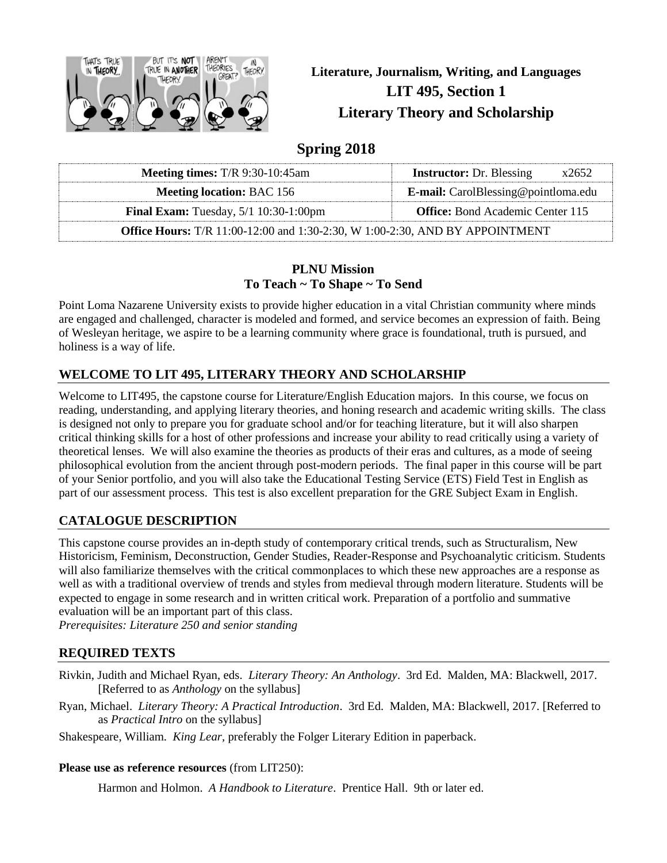

**Literature, Journalism, Writing, and Languages LIT 495, Section 1 Literary Theory and Scholarship**

# **Spring 2018**

| <b>Meeting times:</b> $T/R$ 9:30-10:45am                                                  | <b>Instructor:</b> Dr. Blessing<br>x2652   |  |  |  |  |
|-------------------------------------------------------------------------------------------|--------------------------------------------|--|--|--|--|
| <b>Meeting location: BAC 156</b>                                                          | <b>E-mail:</b> CarolBlessing@pointloma.edu |  |  |  |  |
| <b>Final Exam:</b> Tuesday, $5/1$ 10:30-1:00pm<br><b>Office:</b> Bond Academic Center 115 |                                            |  |  |  |  |
| <b>Office Hours:</b> T/R 11:00-12:00 and 1:30-2:30, W 1:00-2:30, AND BY APPOINTMENT       |                                            |  |  |  |  |

#### **PLNU Mission To Teach ~ To Shape ~ To Send**

Point Loma Nazarene University exists to provide higher education in a vital Christian community where minds are engaged and challenged, character is modeled and formed, and service becomes an expression of faith. Being of Wesleyan heritage, we aspire to be a learning community where grace is foundational, truth is pursued, and holiness is a way of life.

## **WELCOME TO LIT 495, LITERARY THEORY AND SCHOLARSHIP**

Welcome to LIT495, the capstone course for Literature/English Education majors. In this course, we focus on reading, understanding, and applying literary theories, and honing research and academic writing skills. The class is designed not only to prepare you for graduate school and/or for teaching literature, but it will also sharpen critical thinking skills for a host of other professions and increase your ability to read critically using a variety of theoretical lenses. We will also examine the theories as products of their eras and cultures, as a mode of seeing philosophical evolution from the ancient through post-modern periods. The final paper in this course will be part of your Senior portfolio, and you will also take the Educational Testing Service (ETS) Field Test in English as part of our assessment process. This test is also excellent preparation for the GRE Subject Exam in English.

## **CATALOGUE DESCRIPTION**

This capstone course provides an in-depth study of contemporary critical trends, such as Structuralism, New Historicism, Feminism, Deconstruction, Gender Studies, Reader-Response and Psychoanalytic criticism. Students will also familiarize themselves with the critical commonplaces to which these new approaches are a response as well as with a traditional overview of trends and styles from medieval through modern literature. Students will be expected to engage in some research and in written critical work. Preparation of a portfolio and summative evaluation will be an important part of this class.

*Prerequisites: Literature 250 and senior standing*

## **REQUIRED TEXTS**

- Rivkin, Judith and Michael Ryan, eds. *Literary Theory: An Anthology*. 3rd Ed. Malden, MA: Blackwell, 2017. [Referred to as *Anthology* on the syllabus]
- Ryan, Michael. *Literary Theory: A Practical Introduction*. 3rd Ed. Malden, MA: Blackwell, 2017. [Referred to as *Practical Intro* on the syllabus]
- Shakespeare, William. *King Lear,* preferably the Folger Literary Edition in paperback.

#### **Please use as reference resources** (from LIT250):

Harmon and Holmon. *A Handbook to Literature*. Prentice Hall. 9th or later ed.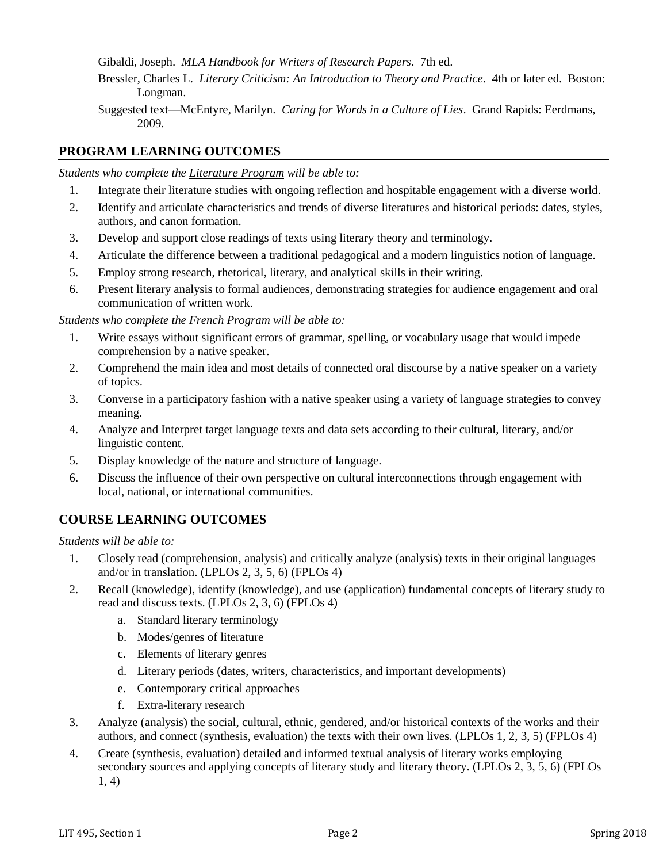Gibaldi, Joseph. *MLA Handbook for Writers of Research Papers*. 7th ed.

- Bressler, Charles L. *Literary Criticism: An Introduction to Theory and Practice*. 4th or later ed. Boston: Longman.
- Suggested text—McEntyre, Marilyn. *Caring for Words in a Culture of Lies*. Grand Rapids: Eerdmans, 2009.

#### **PROGRAM LEARNING OUTCOMES**

*Students who complete the Literature Program will be able to:*

- 1. Integrate their literature studies with ongoing reflection and hospitable engagement with a diverse world.
- 2. Identify and articulate characteristics and trends of diverse literatures and historical periods: dates, styles, authors, and canon formation.
- 3. Develop and support close readings of texts using literary theory and terminology.
- 4. Articulate the difference between a traditional pedagogical and a modern linguistics notion of language.
- 5. Employ strong research, rhetorical, literary, and analytical skills in their writing.
- 6. Present literary analysis to formal audiences, demonstrating strategies for audience engagement and oral communication of written work.

*Students who complete the French Program will be able to:*

- 1. Write essays without significant errors of grammar, spelling, or vocabulary usage that would impede comprehension by a native speaker.
- 2. Comprehend the main idea and most details of connected oral discourse by a native speaker on a variety of topics.
- 3. Converse in a participatory fashion with a native speaker using a variety of language strategies to convey meaning.
- 4. Analyze and Interpret target language texts and data sets according to their cultural, literary, and/or linguistic content.
- 5. Display knowledge of the nature and structure of language.
- 6. Discuss the influence of their own perspective on cultural interconnections through engagement with local, national, or international communities.

## **COURSE LEARNING OUTCOMES**

*Students will be able to:*

- 1. Closely read (comprehension, analysis) and critically analyze (analysis) texts in their original languages and/or in translation. (LPLOs 2, 3, 5, 6) (FPLOs 4)
- 2. Recall (knowledge), identify (knowledge), and use (application) fundamental concepts of literary study to read and discuss texts. (LPLOs 2, 3, 6) (FPLOs 4)
	- a. Standard literary terminology
	- b. Modes/genres of literature
	- c. Elements of literary genres
	- d. Literary periods (dates, writers, characteristics, and important developments)
	- e. Contemporary critical approaches
	- f. Extra-literary research
- 3. Analyze (analysis) the social, cultural, ethnic, gendered, and/or historical contexts of the works and their authors, and connect (synthesis, evaluation) the texts with their own lives. (LPLOs 1, 2, 3, 5) (FPLOs 4)
- 4. Create (synthesis, evaluation) detailed and informed textual analysis of literary works employing secondary sources and applying concepts of literary study and literary theory. (LPLOs 2, 3, 5, 6) (FPLOs 1, 4)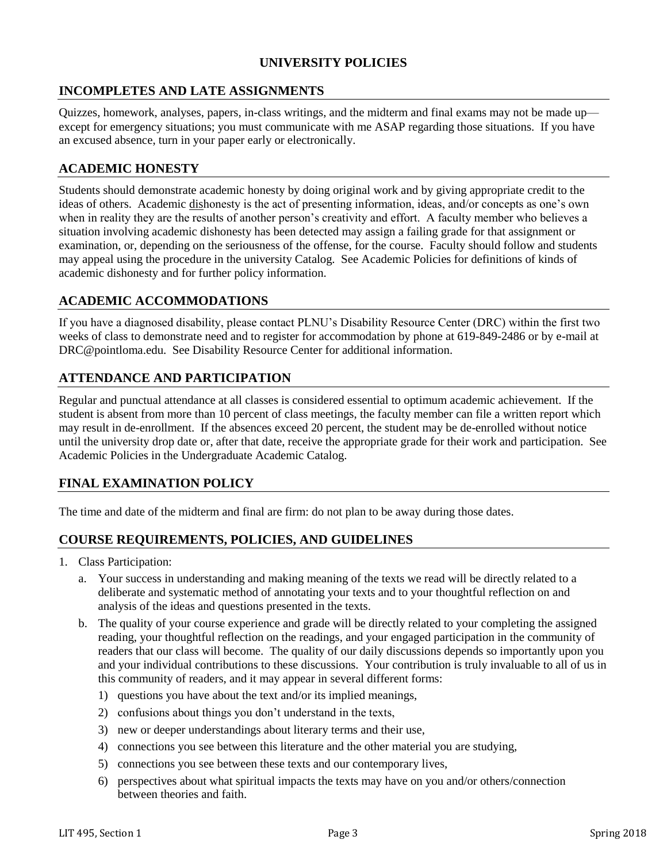### **UNIVERSITY POLICIES**

### **INCOMPLETES AND LATE ASSIGNMENTS**

Quizzes, homework, analyses, papers, in-class writings, and the midterm and final exams may not be made up except for emergency situations; you must communicate with me ASAP regarding those situations. If you have an excused absence, turn in your paper early or electronically.

#### **ACADEMIC HONESTY**

Students should demonstrate academic honesty by doing original work and by giving appropriate credit to the ideas of others. Academic dishonesty is the act of presenting information, ideas, and/or concepts as one's own when in reality they are the results of another person's creativity and effort. A faculty member who believes a situation involving academic dishonesty has been detected may assign a failing grade for that assignment or examination, or, depending on the seriousness of the offense, for the course. Faculty should follow and students may appeal using the procedure in the university Catalog. See Academic Policies for definitions of kinds of academic dishonesty and for further policy information.

### **ACADEMIC ACCOMMODATIONS**

If you have a diagnosed disability, please contact PLNU's Disability Resource Center (DRC) within the first two weeks of class to demonstrate need and to register for accommodation by phone at 619-849-2486 or by e-mail at DRC@pointloma.edu. See Disability Resource Center for additional information.

### **ATTENDANCE AND PARTICIPATION**

Regular and punctual attendance at all classes is considered essential to optimum academic achievement. If the student is absent from more than 10 percent of class meetings, the faculty member can file a written report which may result in de-enrollment. If the absences exceed 20 percent, the student may be de-enrolled without notice until the university drop date or, after that date, receive the appropriate grade for their work and participation. See Academic Policies in the Undergraduate Academic Catalog.

## **FINAL EXAMINATION POLICY**

The time and date of the midterm and final are firm: do not plan to be away during those dates.

#### **COURSE REQUIREMENTS, POLICIES, AND GUIDELINES**

- 1. Class Participation:
	- a. Your success in understanding and making meaning of the texts we read will be directly related to a deliberate and systematic method of annotating your texts and to your thoughtful reflection on and analysis of the ideas and questions presented in the texts.
	- b. The quality of your course experience and grade will be directly related to your completing the assigned reading, your thoughtful reflection on the readings, and your engaged participation in the community of readers that our class will become. The quality of our daily discussions depends so importantly upon you and your individual contributions to these discussions. Your contribution is truly invaluable to all of us in this community of readers, and it may appear in several different forms:
		- 1) questions you have about the text and/or its implied meanings,
		- 2) confusions about things you don't understand in the texts,
		- 3) new or deeper understandings about literary terms and their use,
		- 4) connections you see between this literature and the other material you are studying,
		- 5) connections you see between these texts and our contemporary lives,
		- 6) perspectives about what spiritual impacts the texts may have on you and/or others/connection between theories and faith.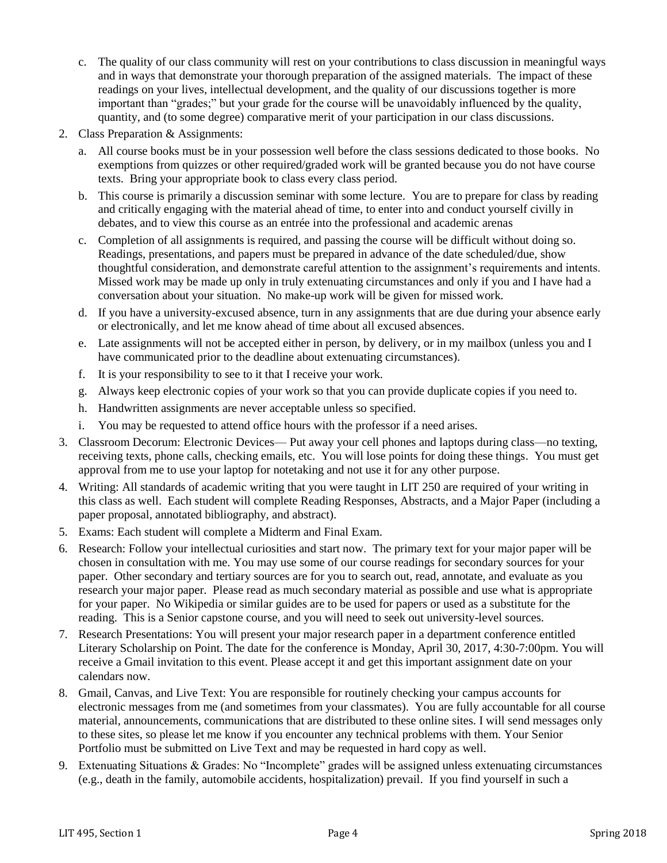- c. The quality of our class community will rest on your contributions to class discussion in meaningful ways and in ways that demonstrate your thorough preparation of the assigned materials. The impact of these readings on your lives, intellectual development, and the quality of our discussions together is more important than "grades;" but your grade for the course will be unavoidably influenced by the quality, quantity, and (to some degree) comparative merit of your participation in our class discussions.
- 2. Class Preparation & Assignments:
	- a. All course books must be in your possession well before the class sessions dedicated to those books. No exemptions from quizzes or other required/graded work will be granted because you do not have course texts. Bring your appropriate book to class every class period.
	- b. This course is primarily a discussion seminar with some lecture. You are to prepare for class by reading and critically engaging with the material ahead of time, to enter into and conduct yourself civilly in debates, and to view this course as an entrée into the professional and academic arenas
	- c. Completion of all assignments is required, and passing the course will be difficult without doing so. Readings, presentations, and papers must be prepared in advance of the date scheduled/due, show thoughtful consideration, and demonstrate careful attention to the assignment's requirements and intents. Missed work may be made up only in truly extenuating circumstances and only if you and I have had a conversation about your situation. No make-up work will be given for missed work.
	- d. If you have a university-excused absence, turn in any assignments that are due during your absence early or electronically, and let me know ahead of time about all excused absences.
	- e. Late assignments will not be accepted either in person, by delivery, or in my mailbox (unless you and I have communicated prior to the deadline about extenuating circumstances).
	- f. It is your responsibility to see to it that I receive your work.
	- g. Always keep electronic copies of your work so that you can provide duplicate copies if you need to.
	- h. Handwritten assignments are never acceptable unless so specified.
	- i. You may be requested to attend office hours with the professor if a need arises.
- 3. Classroom Decorum: Electronic Devices— Put away your cell phones and laptops during class—no texting, receiving texts, phone calls, checking emails, etc. You will lose points for doing these things. You must get approval from me to use your laptop for notetaking and not use it for any other purpose.
- 4. Writing: All standards of academic writing that you were taught in LIT 250 are required of your writing in this class as well. Each student will complete Reading Responses, Abstracts, and a Major Paper (including a paper proposal, annotated bibliography, and abstract).
- 5. Exams: Each student will complete a Midterm and Final Exam.
- 6. Research: Follow your intellectual curiosities and start now. The primary text for your major paper will be chosen in consultation with me. You may use some of our course readings for secondary sources for your paper. Other secondary and tertiary sources are for you to search out, read, annotate, and evaluate as you research your major paper. Please read as much secondary material as possible and use what is appropriate for your paper. No Wikipedia or similar guides are to be used for papers or used as a substitute for the reading. This is a Senior capstone course, and you will need to seek out university-level sources.
- 7. Research Presentations: You will present your major research paper in a department conference entitled Literary Scholarship on Point. The date for the conference is Monday, April 30, 2017, 4:30-7:00pm. You will receive a Gmail invitation to this event. Please accept it and get this important assignment date on your calendars now.
- 8. Gmail, Canvas, and Live Text: You are responsible for routinely checking your campus accounts for electronic messages from me (and sometimes from your classmates). You are fully accountable for all course material, announcements, communications that are distributed to these online sites. I will send messages only to these sites, so please let me know if you encounter any technical problems with them. Your Senior Portfolio must be submitted on Live Text and may be requested in hard copy as well.
- 9. Extenuating Situations & Grades: No "Incomplete" grades will be assigned unless extenuating circumstances (e.g., death in the family, automobile accidents, hospitalization) prevail. If you find yourself in such a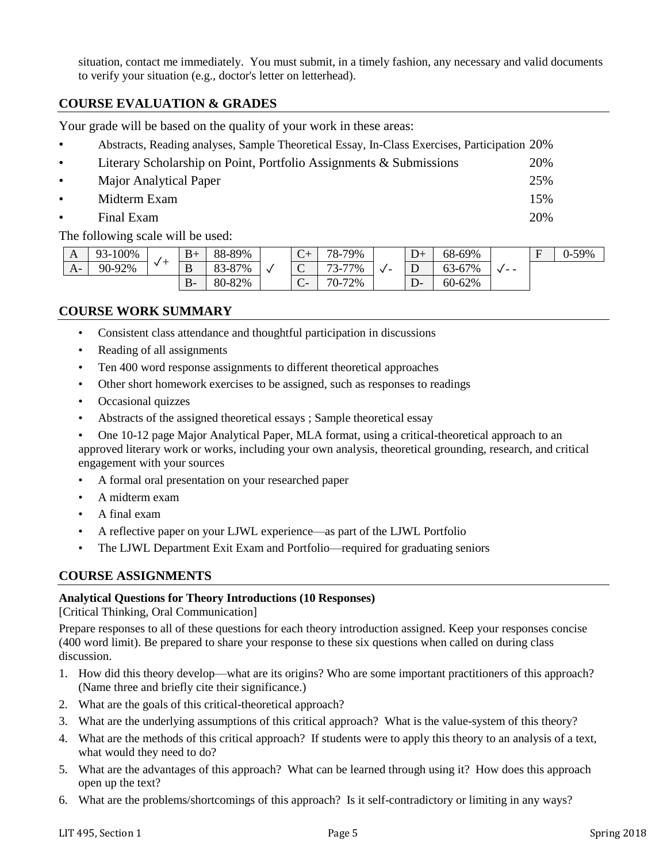situation, contact me immediately. You must submit, in a timely fashion, any necessary and valid documents to verify your situation (e.g., doctor's letter on letterhead).

### **COURSE EVALUATION & GRADES**

Your grade will be based on the quality of your work in these areas:

| $\bullet$ | Abstracts, Reading analyses, Sample Theoretical Essay, In-Class Exercises, Participation 20% |      |
|-----------|----------------------------------------------------------------------------------------------|------|
| $\bullet$ | Literary Scholarship on Point, Portfolio Assignments & Submissions                           | 20\% |
| $\bullet$ | Major Analytical Paper                                                                       | 25%  |
| $\bullet$ | Midterm Exam                                                                                 | 15%  |
| $\bullet$ | Final Exam                                                                                   | 20%  |

The following scale will be used:

| A    | 93-100% | $\checkmark$ | $B+$   | 88-89% |              | $\sim$<br>$\mathbf{C}^+$ | 78-79%                                   | $\sqrt{}$<br>- | $D+$ | 68-69% | $ -$ | $\blacksquare$ | 0-59% |
|------|---------|--------------|--------|--------|--------------|--------------------------|------------------------------------------|----------------|------|--------|------|----------------|-------|
| $A-$ | 90-92%  |              | D<br>൰ | 83-87% | $\mathbf{v}$ | $\sim$<br>◡              | 77%<br>$\overline{\phantom{a}}$<br>ر - ی |                | ◡    | 63-67% |      |                |       |
|      |         |              | $B-$   | 80-82% |              | $\sim$<br>◡              | $70-7$<br>72%                            |                |      | 60-62% |      |                |       |

### **COURSE WORK SUMMARY**

- Consistent class attendance and thoughtful participation in discussions
- Reading of all assignments
- Ten 400 word response assignments to different theoretical approaches
- Other short homework exercises to be assigned, such as responses to readings
- Occasional quizzes
- Abstracts of the assigned theoretical essays ; Sample theoretical essay
- One 10-12 page Major Analytical Paper, MLA format, using a critical-theoretical approach to an approved literary work or works, including your own analysis, theoretical grounding, research, and critical engagement with your sources
- A formal oral presentation on your researched paper
- A midterm exam
- A final exam
- A reflective paper on your LJWL experience—as part of the LJWL Portfolio
- The LJWL Department Exit Exam and Portfolio—required for graduating seniors

#### **COURSE ASSIGNMENTS**

#### **Analytical Questions for Theory Introductions (10 Responses)**

[Critical Thinking, Oral Communication]

Prepare responses to all of these questions for each theory introduction assigned. Keep your responses concise (400 word limit). Be prepared to share your response to these six questions when called on during class discussion.

- 1. How did this theory develop—what are its origins? Who are some important practitioners of this approach? (Name three and briefly cite their significance.)
- 2. What are the goals of this critical-theoretical approach?
- 3. What are the underlying assumptions of this critical approach? What is the value-system of this theory?
- 4. What are the methods of this critical approach? If students were to apply this theory to an analysis of a text, what would they need to do?
- 5. What are the advantages of this approach? What can be learned through using it? How does this approach open up the text?
- 6. What are the problems/shortcomings of this approach? Is it self-contradictory or limiting in any ways?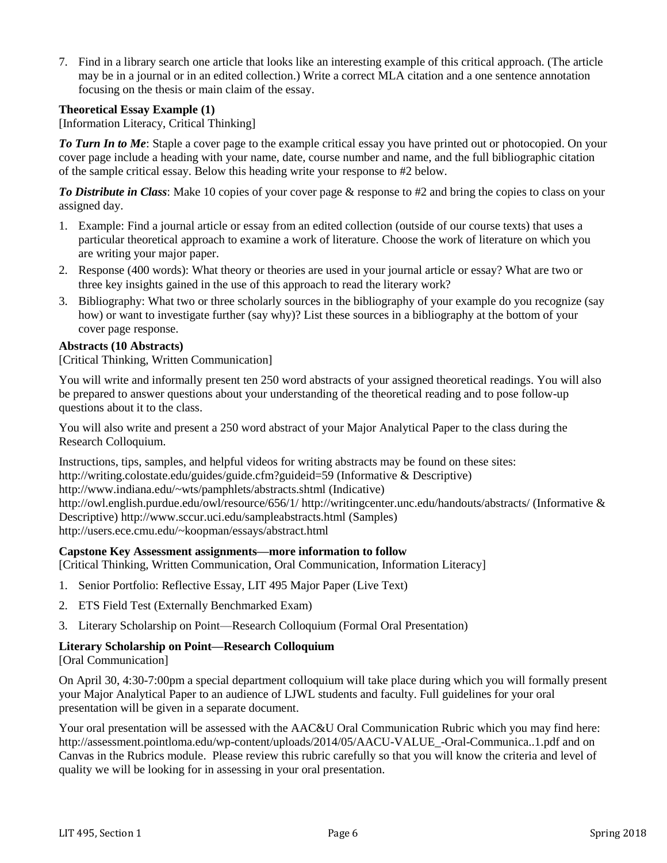7. Find in a library search one article that looks like an interesting example of this critical approach. (The article may be in a journal or in an edited collection.) Write a correct MLA citation and a one sentence annotation focusing on the thesis or main claim of the essay.

#### **Theoretical Essay Example (1)**

[Information Literacy, Critical Thinking]

*To Turn In to Me*: Staple a cover page to the example critical essay you have printed out or photocopied. On your cover page include a heading with your name, date, course number and name, and the full bibliographic citation of the sample critical essay. Below this heading write your response to #2 below.

*To Distribute in Class*: Make 10 copies of your cover page & response to #2 and bring the copies to class on your assigned day.

- 1. Example: Find a journal article or essay from an edited collection (outside of our course texts) that uses a particular theoretical approach to examine a work of literature. Choose the work of literature on which you are writing your major paper.
- 2. Response (400 words): What theory or theories are used in your journal article or essay? What are two or three key insights gained in the use of this approach to read the literary work?
- 3. Bibliography: What two or three scholarly sources in the bibliography of your example do you recognize (say how) or want to investigate further (say why)? List these sources in a bibliography at the bottom of your cover page response.

#### **Abstracts (10 Abstracts)**

[Critical Thinking, Written Communication]

You will write and informally present ten 250 word abstracts of your assigned theoretical readings. You will also be prepared to answer questions about your understanding of the theoretical reading and to pose follow-up questions about it to the class.

You will also write and present a 250 word abstract of your Major Analytical Paper to the class during the Research Colloquium.

Instructions, tips, samples, and helpful videos for writing abstracts may be found on these sites: http://writing.colostate.edu/guides/guide.cfm?guideid=59 (Informative & Descriptive) http://www.indiana.edu/~wts/pamphlets/abstracts.shtml (Indicative) http://owl.english.purdue.edu/owl/resource/656/1/ http://writingcenter.unc.edu/handouts/abstracts/ (Informative & Descriptive) http://www.sccur.uci.edu/sampleabstracts.html (Samples) http://users.ece.cmu.edu/~koopman/essays/abstract.html

#### **Capstone Key Assessment assignments—more information to follow**

[Critical Thinking, Written Communication, Oral Communication, Information Literacy]

- 1. Senior Portfolio: Reflective Essay, LIT 495 Major Paper (Live Text)
- 2. ETS Field Test (Externally Benchmarked Exam)
- 3. Literary Scholarship on Point—Research Colloquium (Formal Oral Presentation)

#### **Literary Scholarship on Point—Research Colloquium**

[Oral Communication]

On April 30, 4:30-7:00pm a special department colloquium will take place during which you will formally present your Major Analytical Paper to an audience of LJWL students and faculty. Full guidelines for your oral presentation will be given in a separate document.

Your oral presentation will be assessed with the AAC&U Oral Communication Rubric which you may find here: http://assessment.pointloma.edu/wp-content/uploads/2014/05/AACU-VALUE\_-Oral-Communica..1.pdf and on Canvas in the Rubrics module. Please review this rubric carefully so that you will know the criteria and level of quality we will be looking for in assessing in your oral presentation.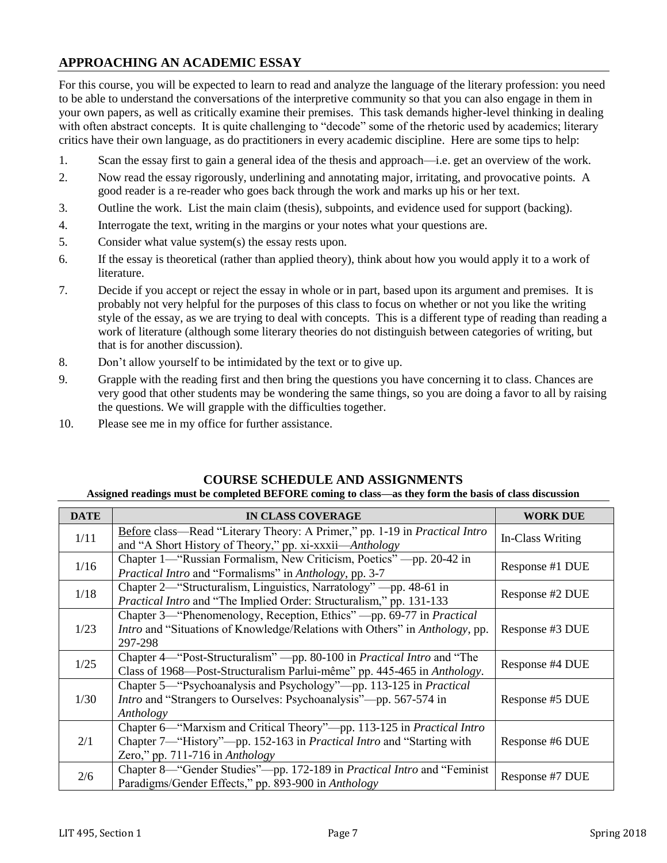## **APPROACHING AN ACADEMIC ESSAY**

For this course, you will be expected to learn to read and analyze the language of the literary profession: you need to be able to understand the conversations of the interpretive community so that you can also engage in them in your own papers, as well as critically examine their premises. This task demands higher-level thinking in dealing with often abstract concepts. It is quite challenging to "decode" some of the rhetoric used by academics; literary critics have their own language, as do practitioners in every academic discipline. Here are some tips to help:

- 1. Scan the essay first to gain a general idea of the thesis and approach—i.e. get an overview of the work.
- 2. Now read the essay rigorously, underlining and annotating major, irritating, and provocative points. A good reader is a re-reader who goes back through the work and marks up his or her text.
- 3. Outline the work. List the main claim (thesis), subpoints, and evidence used for support (backing).
- 4. Interrogate the text, writing in the margins or your notes what your questions are.
- 5. Consider what value system(s) the essay rests upon.
- 6. If the essay is theoretical (rather than applied theory), think about how you would apply it to a work of literature.
- 7. Decide if you accept or reject the essay in whole or in part, based upon its argument and premises. It is probably not very helpful for the purposes of this class to focus on whether or not you like the writing style of the essay, as we are trying to deal with concepts. This is a different type of reading than reading a work of literature (although some literary theories do not distinguish between categories of writing, but that is for another discussion).
- 8. Don't allow yourself to be intimidated by the text or to give up.
- 9. Grapple with the reading first and then bring the questions you have concerning it to class. Chances are very good that other students may be wondering the same things, so you are doing a favor to all by raising the questions. We will grapple with the difficulties together.
- 10. Please see me in my office for further assistance.

| <b>DATE</b> | <b>IN CLASS COVERAGE</b>                                                                                                                                                             | <b>WORK DUE</b>  |
|-------------|--------------------------------------------------------------------------------------------------------------------------------------------------------------------------------------|------------------|
| 1/11        | Before class—Read "Literary Theory: A Primer," pp. 1-19 in <i>Practical Intro</i><br>and "A Short History of Theory," pp. xi-xxxii—Anthology                                         | In-Class Writing |
| 1/16        | Chapter 1—"Russian Formalism, New Criticism, Poetics" —pp. 20-42 in<br><i>Practical Intro and "Formalisms" in Anthology, pp. 3-7</i>                                                 | Response #1 DUE  |
| 1/18        | Chapter 2—"Structuralism, Linguistics, Narratology" —pp. 48-61 in<br>Practical Intro and "The Implied Order: Structuralism," pp. 131-133                                             | Response #2 DUE  |
| 1/23        | Chapter 3—"Phenomenology, Reception, Ethics" —pp. 69-77 in <i>Practical</i><br>Intro and "Situations of Knowledge/Relations with Others" in Anthology, pp.<br>297-298                | Response #3 DUE  |
| 1/25        | Chapter 4—"Post-Structuralism" —pp. 80-100 in Practical Intro and "The<br>Class of 1968—Post-Structuralism Parlui-même" pp. 445-465 in Anthology.                                    | Response #4 DUE  |
| 1/30        | Chapter 5—"Psychoanalysis and Psychology"—pp. 113-125 in Practical<br><i>Intro</i> and "Strangers to Ourselves: Psychoanalysis"—pp. 567-574 in<br>Anthology                          | Response #5 DUE  |
| 2/1         | Chapter 6—"Marxism and Critical Theory"—pp. 113-125 in Practical Intro<br>Chapter 7—"History"—pp. 152-163 in Practical Intro and "Starting with<br>Zero," pp. $711-716$ in Anthology | Response #6 DUE  |
| 2/6         | Chapter 8—"Gender Studies"—pp. 172-189 in Practical Intro and "Feminist"<br>Paradigms/Gender Effects," pp. 893-900 in Anthology                                                      | Response #7 DUE  |

#### **COURSE SCHEDULE AND ASSIGNMENTS**

#### **Assigned readings must be completed BEFORE coming to class—as they form the basis of class discussion**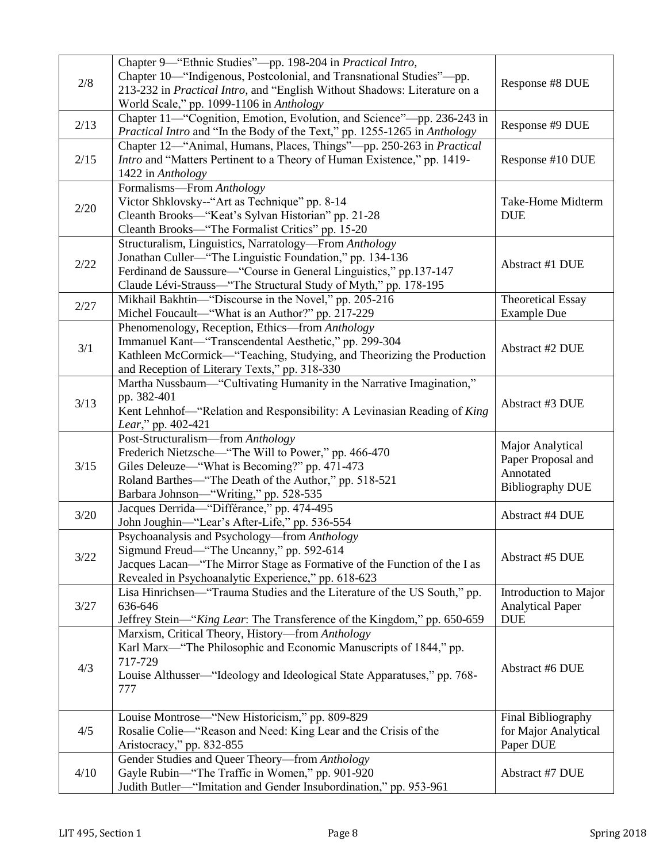| 2/8  | Chapter 9-"Ethnic Studies"-pp. 198-204 in Practical Intro,<br>Chapter 10—"Indigenous, Postcolonial, and Transnational Studies"—pp.<br>213-232 in Practical Intro, and "English Without Shadows: Literature on a<br>World Scale," pp. 1099-1106 in Anthology | Response #8 DUE                                                                |
|------|-------------------------------------------------------------------------------------------------------------------------------------------------------------------------------------------------------------------------------------------------------------|--------------------------------------------------------------------------------|
| 2/13 | Chapter 11—"Cognition, Emotion, Evolution, and Science"-- pp. 236-243 in<br>Practical Intro and "In the Body of the Text," pp. 1255-1265 in Anthology                                                                                                       | Response #9 DUE                                                                |
| 2/15 | Chapter 12—"Animal, Humans, Places, Things"—pp. 250-263 in Practical<br>Intro and "Matters Pertinent to a Theory of Human Existence," pp. 1419-<br>1422 in Anthology                                                                                        | Response #10 DUE                                                               |
| 2/20 | Formalisms-From Anthology<br>Victor Shklovsky--"Art as Technique" pp. 8-14<br>Cleanth Brooks-"Keat's Sylvan Historian" pp. 21-28<br>Cleanth Brooks-"The Formalist Critics" pp. 15-20                                                                        | Take-Home Midterm<br><b>DUE</b>                                                |
| 2/22 | Structuralism, Linguistics, Narratology—From Anthology<br>Jonathan Culler—"The Linguistic Foundation," pp. 134-136<br>Ferdinand de Saussure—"Course in General Linguistics," pp.137-147<br>Claude Lévi-Strauss—"The Structural Study of Myth," pp. 178-195  | Abstract #1 DUE                                                                |
| 2/27 | Mikhail Bakhtin-"Discourse in the Novel," pp. 205-216<br>Michel Foucault-"What is an Author?" pp. 217-229                                                                                                                                                   | <b>Theoretical Essay</b><br><b>Example Due</b>                                 |
| 3/1  | Phenomenology, Reception, Ethics-from Anthology<br>Immanuel Kant-"Transcendental Aesthetic," pp. 299-304<br>Kathleen McCormick—"Teaching, Studying, and Theorizing the Production<br>and Reception of Literary Texts," pp. 318-330                          | Abstract #2 DUE                                                                |
| 3/13 | Martha Nussbaum—"Cultivating Humanity in the Narrative Imagination,"<br>pp. 382-401<br>Kent Lehnhof-"Relation and Responsibility: A Levinasian Reading of King<br>Lear," pp. 402-421                                                                        | Abstract #3 DUE                                                                |
| 3/15 | Post-Structuralism-from Anthology<br>Frederich Nietzsche—"The Will to Power," pp. 466-470<br>Giles Deleuze—"What is Becoming?" pp. 471-473<br>Roland Barthes—"The Death of the Author," pp. 518-521<br>Barbara Johnson-"Writing," pp. 528-535               | Major Analytical<br>Paper Proposal and<br>Annotated<br><b>Bibliography DUE</b> |
| 3/20 | Jacques Derrida-"Différance," pp. 474-495<br>John Joughin-"Lear's After-Life," pp. 536-554                                                                                                                                                                  | <b>Abstract #4 DUE</b>                                                         |
| 3/22 | Psychoanalysis and Psychology—from Anthology<br>Sigmund Freud—"The Uncanny," pp. 592-614<br>Jacques Lacan—"The Mirror Stage as Formative of the Function of the I as<br>Revealed in Psychoanalytic Experience," pp. 618-623                                 | Abstract #5 DUE                                                                |
| 3/27 | Lisa Hinrichsen—"Trauma Studies and the Literature of the US South," pp.<br>636-646<br>Jeffrey Stein-"King Lear: The Transference of the Kingdom," pp. 650-659                                                                                              | Introduction to Major<br><b>Analytical Paper</b><br><b>DUE</b>                 |
| 4/3  | Marxism, Critical Theory, History-from Anthology<br>Karl Marx—"The Philosophic and Economic Manuscripts of 1844," pp.<br>717-729<br>Louise Althusser—"Ideology and Ideological State Apparatuses," pp. 768-<br>777                                          | Abstract #6 DUE                                                                |
| 4/5  | Louise Montrose—"New Historicism," pp. 809-829<br>Rosalie Colie—"Reason and Need: King Lear and the Crisis of the<br>Aristocracy," pp. 832-855                                                                                                              | Final Bibliography<br>for Major Analytical<br>Paper DUE                        |
| 4/10 | Gender Studies and Queer Theory-from Anthology<br>Gayle Rubin—"The Traffic in Women," pp. 901-920<br>Judith Butler-"Imitation and Gender Insubordination," pp. 953-961                                                                                      | Abstract #7 DUE                                                                |